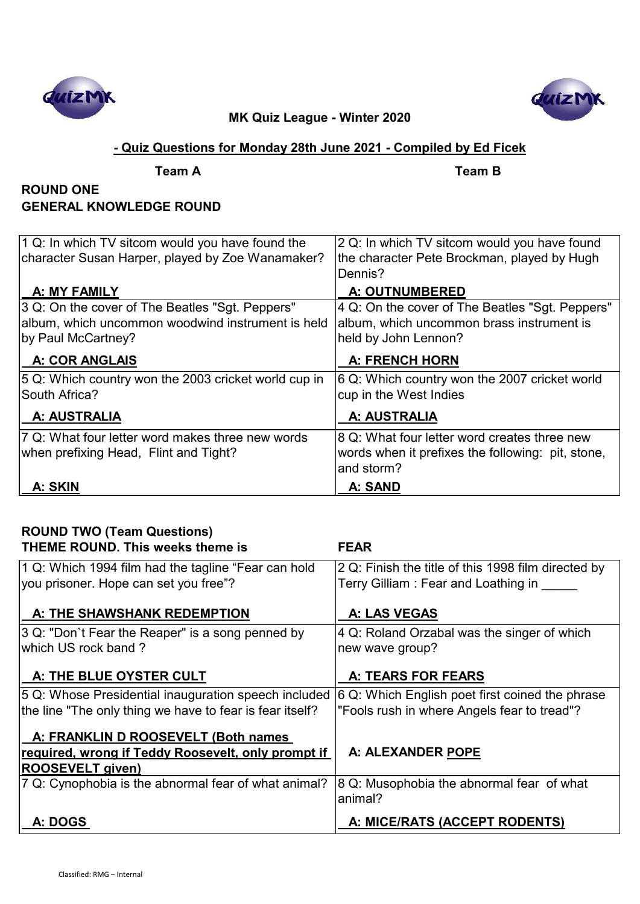



# **- Quiz Questions for Monday 28th June 2021 - Compiled by Ed Ficek**

**Team A Team B**

# **ROUND ONE GENERAL KNOWLEDGE ROUND**

| 1 Q: In which TV sitcom would you have found the     | 2 Q: In which TV sitcom would you have found      |
|------------------------------------------------------|---------------------------------------------------|
| character Susan Harper, played by Zoe Wanamaker?     | the character Pete Brockman, played by Hugh       |
|                                                      | Dennis?                                           |
| A: MY FAMILY                                         | <b>A: OUTNUMBERED</b>                             |
| 3 Q: On the cover of The Beatles "Sgt. Peppers"      | 4 Q: On the cover of The Beatles "Sgt. Peppers"   |
| album, which uncommon woodwind instrument is held    | album, which uncommon brass instrument is         |
| by Paul McCartney?                                   | held by John Lennon?                              |
| <b>A: COR ANGLAIS</b>                                | <b>A: FRENCH HORN</b>                             |
| 5 Q: Which country won the 2003 cricket world cup in | 6 Q: Which country won the 2007 cricket world     |
| South Africa?                                        | cup in the West Indies                            |
| A: AUSTRALIA                                         | A: AUSTRALIA                                      |
| 7 Q: What four letter word makes three new words     | 8 Q: What four letter word creates three new      |
| when prefixing Head, Flint and Tight?                | words when it prefixes the following: pit, stone, |
|                                                      | and storm?                                        |
| A: SKIN                                              | A: SAND                                           |

| <b>ROUND TWO (Team Questions)</b>                        |                                                     |
|----------------------------------------------------------|-----------------------------------------------------|
| <b>THEME ROUND. This weeks theme is</b>                  | <b>FEAR</b>                                         |
| 1 Q: Which 1994 film had the tagline "Fear can hold      | 2 Q: Finish the title of this 1998 film directed by |
| you prisoner. Hope can set you free"?                    | Terry Gilliam : Fear and Loathing in                |
| A: THE SHAWSHANK REDEMPTION                              | A: LAS VEGAS                                        |
| 3 Q: "Don't Fear the Reaper" is a song penned by         | 4 Q: Roland Orzabal was the singer of which         |
| which US rock band?                                      | new wave group?                                     |
| A: THE BLUE OYSTER CULT                                  | A: TEARS FOR FEARS                                  |
| 5 Q: Whose Presidential inauguration speech included     | 6 Q: Which English poet first coined the phrase     |
| the line "The only thing we have to fear is fear itself? | "Fools rush in where Angels fear to tread"?         |
| A: FRANKLIN D ROOSEVELT (Both names                      |                                                     |
| required, wrong if Teddy Roosevelt, only prompt if       | A: ALEXANDER POPE                                   |
| <b>ROOSEVELT given)</b>                                  |                                                     |
| 7 Q: Cynophobia is the abnormal fear of what animal?     | 8 Q: Musophobia the abnormal fear of what           |
|                                                          | animal?                                             |
| A: DOGS                                                  | A: MICE/RATS (ACCEPT RODENTS)                       |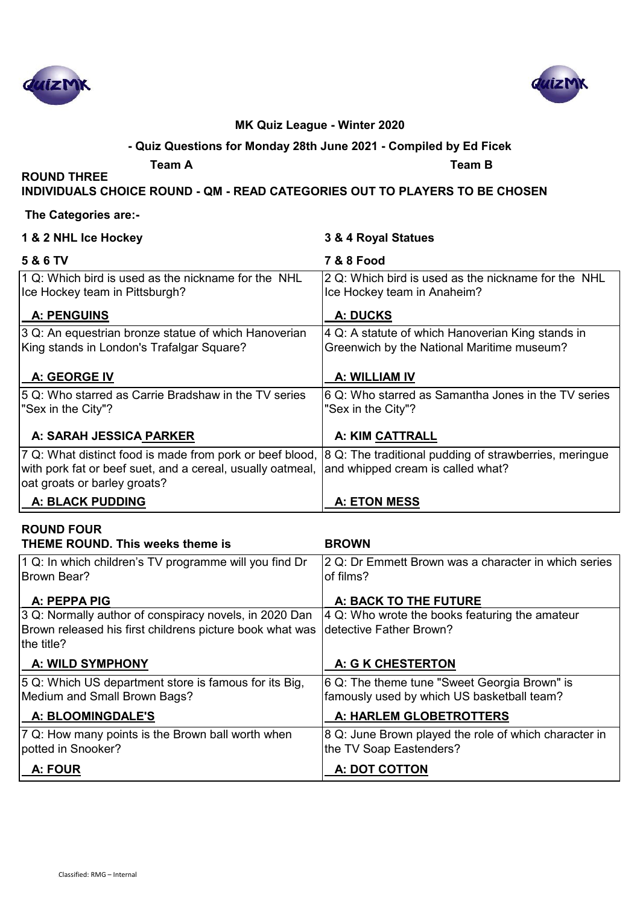



#### **- Quiz Questions for Monday 28th June 2021 - Compiled by Ed Ficek**

**ROUND THREE** 

**Team A Team B**

**INDIVIDUALS CHOICE ROUND - QM - READ CATEGORIES OUT TO PLAYERS TO BE CHOSEN**

### **The Categories are:-**

| 1 & 2 NHL Ice Hockey                                                   | 3 & 4 Royal Statues                                    |
|------------------------------------------------------------------------|--------------------------------------------------------|
| 5 & 6 TV                                                               | <b>7 &amp; 8 Food</b>                                  |
| 1 Q: Which bird is used as the nickname for the NHL                    | 2 Q: Which bird is used as the nickname for the NHL    |
| Ice Hockey team in Pittsburgh?                                         | Ice Hockey team in Anaheim?                            |
| <b>A: PENGUINS</b>                                                     | A: DUCKS                                               |
| 3 Q: An equestrian bronze statue of which Hanoverian                   | 4 Q: A statute of which Hanoverian King stands in      |
| King stands in London's Trafalgar Square?                              | Greenwich by the National Maritime museum?             |
| A: GEORGE IV                                                           | A: WILLIAM IV                                          |
| 5 Q: Who starred as Carrie Bradshaw in the TV series                   | 6 Q: Who starred as Samantha Jones in the TV series    |
| "Sex in the City"?                                                     | "Sex in the City"?                                     |
|                                                                        |                                                        |
| A: SARAH JESSICA PARKER                                                | A: KIM CATTRALL                                        |
| 7 Q: What distinct food is made from pork or beef blood,               | 8 Q: The traditional pudding of strawberries, meringue |
| with pork fat or beef suet, and a cereal, usually oatmeal,             | and whipped cream is called what?                      |
| oat groats or barley groats?                                           |                                                        |
| <b>A: BLACK PUDDING</b>                                                | <b>A: ETON MESS</b>                                    |
| <b>ROUND FOUR</b>                                                      |                                                        |
| THEME ROUND. This weeks theme is                                       | <b>BROWN</b>                                           |
| 1 Q: In which children's TV programme will you find Dr                 | 2 Q: Dr Emmett Brown was a character in which series   |
| Brown Bear?                                                            | of films?                                              |
|                                                                        |                                                        |
| A: PEPPA PIG                                                           | A: BACK TO THE FUTURE                                  |
| 3 Q: Normally author of conspiracy novels, in 2020 Dan                 | 4 Q: Who wrote the books featuring the amateur         |
| Brown released his first childrens picture book what was<br>the title? | detective Father Brown?                                |
| <b>A: WILD SYMPHONY</b>                                                | A: G K CHESTERTON                                      |
| 5 Q: Which US department store is famous for its Big,                  | 6 Q: The theme tune "Sweet Georgia Brown" is           |
| Medium and Small Brown Bags?                                           | famously used by which US basketball team?             |

A: BLOOMINGDALE'S **A: HARLEM GLOBETROTTERS** 7 Q: How many points is the Brown ball worth when potted in Snooker? 8 Q: June Brown played the role of which character in the TV Soap Eastenders? A: FOUR **A: DOT COTTON**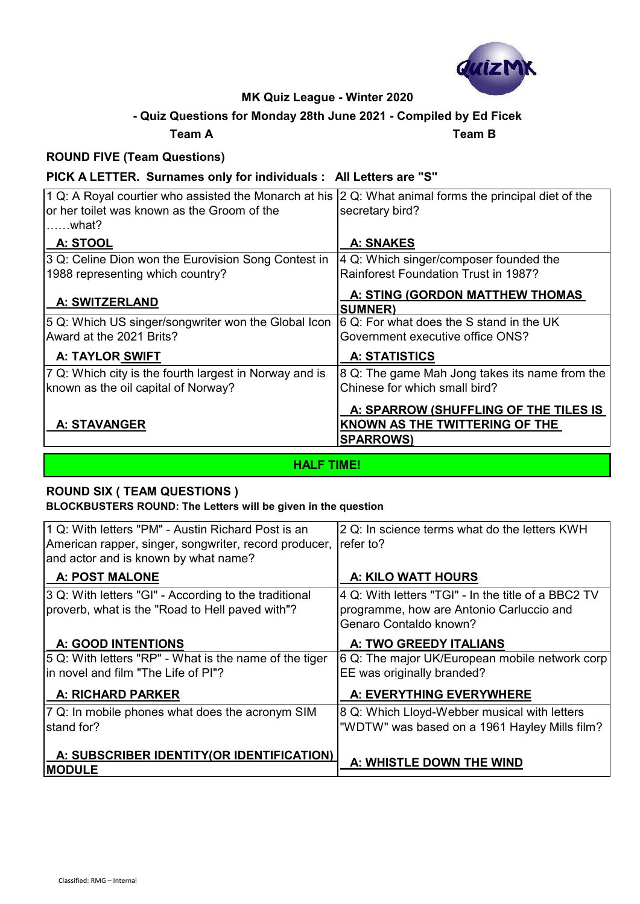

## **- Quiz Questions for Monday 28th June 2021 - Compiled by Ed Ficek**

#### **Team A Team B**

## **ROUND FIVE (Team Questions)**

## **PICK A LETTER. Surnames only for individuals : All Letters are "S"**

| 1 Q: A Royal courtier who assisted the Monarch at his<br>or her toilet was known as the Groom of the<br>……what? | 2 Q: What animal forms the principal diet of the<br>secretary bird?                         |
|-----------------------------------------------------------------------------------------------------------------|---------------------------------------------------------------------------------------------|
| A: STOOL                                                                                                        | <b>A: SNAKES</b>                                                                            |
| 3 Q: Celine Dion won the Eurovision Song Contest in<br>1988 representing which country?                         | 4 Q: Which singer/composer founded the<br>Rainforest Foundation Trust in 1987?              |
| <b>A: SWITZERLAND</b>                                                                                           | A: STING (GORDON MATTHEW THOMAS<br><b>SUMNER</b>                                            |
| 5 Q: Which US singer/songwriter won the Global Icon<br>Award at the 2021 Brits?                                 | 6 Q: For what does the S stand in the UK<br>Government executive office ONS?                |
| <b>A: TAYLOR SWIFT</b>                                                                                          | <b>A: STATISTICS</b>                                                                        |
| 7 Q: Which city is the fourth largest in Norway and is<br>known as the oil capital of Norway?                   | 8 Q: The game Mah Jong takes its name from the<br>Chinese for which small bird?             |
| <b>A: STAVANGER</b>                                                                                             | A: SPARROW (SHUFFLING OF THE TILES IS<br>KNOWN AS THE TWITTERING OF THE<br><b>SPARROWS)</b> |

### **HALF TIME!**

### **ROUND SIX ( TEAM QUESTIONS )**

**BLOCKBUSTERS ROUND: The Letters will be given in the question**

| 1 Q: With letters "PM" - Austin Richard Post is an<br>American rapper, singer, songwriter, record producer,<br>and actor and is known by what name? | 2 Q: In science terms what do the letters KWH<br>refer to?                                                                |
|-----------------------------------------------------------------------------------------------------------------------------------------------------|---------------------------------------------------------------------------------------------------------------------------|
| <b>A: POST MALONE</b>                                                                                                                               | A: KILO WATT HOURS                                                                                                        |
| 3 Q: With letters "GI" - According to the traditional<br>proverb, what is the "Road to Hell paved with"?                                            | 4 Q: With letters "TGI" - In the title of a BBC2 TV<br>programme, how are Antonio Carluccio and<br>Genaro Contaldo known? |
| <b>A: GOOD INTENTIONS</b>                                                                                                                           | A: TWO GREEDY ITALIANS                                                                                                    |
| 5 Q: With letters "RP" - What is the name of the tiger<br>lin novel and film "The Life of PI"?                                                      | 6 Q: The major UK/European mobile network corp<br>EE was originally branded?                                              |
| <b>A: RICHARD PARKER</b>                                                                                                                            | A: EVERYTHING EVERYWHERE                                                                                                  |
| 7 Q: In mobile phones what does the acronym SIM<br>stand for?                                                                                       | 8 Q: Which Lloyd-Webber musical with letters<br>"WDTW" was based on a 1961 Hayley Mills film?                             |
| A: SUBSCRIBER IDENTITY(OR IDENTIFICATION)<br><b>MODULE</b>                                                                                          | A: WHISTLE DOWN THE WIND                                                                                                  |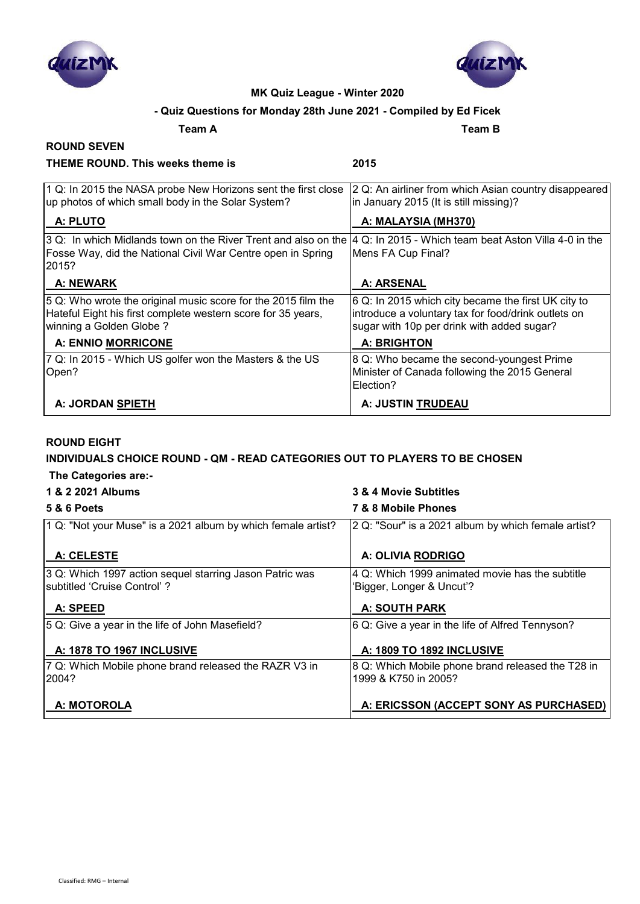



### **- Quiz Questions for Monday 28th June 2021 - Compiled by Ed Ficek**

**Team A Team B**

# **ROUND SEVEN**

**THEME ROUND. This weeks theme is 2015**

| 1 Q: In 2015 the NASA probe New Horizons sent the first close<br>up photos of which small body in the Solar System?                                      | 2 Q: An airliner from which Asian country disappeared<br>in January 2015 (It is still missing)?                                                          |
|----------------------------------------------------------------------------------------------------------------------------------------------------------|----------------------------------------------------------------------------------------------------------------------------------------------------------|
| A: PLUTO                                                                                                                                                 | A: MALAYSIA (MH370)                                                                                                                                      |
| 3 Q: In which Midlands town on the River Trent and also on the<br>Fosse Way, did the National Civil War Centre open in Spring<br>2015?                   | 4 Q: In 2015 - Which team beat Aston Villa 4-0 in the<br>Mens FA Cup Final?                                                                              |
| <b>A: NEWARK</b>                                                                                                                                         | A: ARSENAL                                                                                                                                               |
| 5 Q: Who wrote the original music score for the 2015 film the<br>Hateful Eight his first complete western score for 35 years,<br>winning a Golden Globe? | 6 Q: In 2015 which city became the first UK city to<br>introduce a voluntary tax for food/drink outlets on<br>sugar with 10p per drink with added sugar? |
| <b>A: ENNIO MORRICONE</b>                                                                                                                                | <b>A: BRIGHTON</b>                                                                                                                                       |
| 7 Q: In 2015 - Which US golfer won the Masters & the US<br>Open?                                                                                         | 8 Q: Who became the second-youngest Prime<br>Minister of Canada following the 2015 General<br>Election?                                                  |
| A: JORDAN SPIETH                                                                                                                                         | <b>A: JUSTIN TRUDEAU</b>                                                                                                                                 |

### **ROUND EIGHT**

#### **INDIVIDUALS CHOICE ROUND - QM - READ CATEGORIES OUT TO PLAYERS TO BE CHOSEN**

 **The Categories are:-**

| 1 & 2 2021 Albums                                            | 3 & 4 Movie Subtitles                               |
|--------------------------------------------------------------|-----------------------------------------------------|
| <b>5 &amp; 6 Poets</b>                                       | 7 & 8 Mobile Phones                                 |
| 1 Q: "Not your Muse" is a 2021 album by which female artist? | 2 Q: "Sour" is a 2021 album by which female artist? |
| A: CELESTE                                                   | A: OLIVIA RODRIGO                                   |
| 3 Q: Which 1997 action sequel starring Jason Patric was      | 4 Q: Which 1999 animated movie has the subtitle     |
| subtitled 'Cruise Control'?                                  | 'Bigger, Longer & Uncut'?                           |
| A: SPEED                                                     | <b>A: SOUTH PARK</b>                                |
| 5 Q: Give a year in the life of John Masefield?              | 6 Q: Give a year in the life of Alfred Tennyson?    |
| <b>A: 1878 TO 1967 INCLUSIVE</b>                             | A: 1809 TO 1892 INCLUSIVE                           |
| 7 Q: Which Mobile phone brand released the RAZR V3 in        | 8 Q: Which Mobile phone brand released the T28 in   |
| 2004?                                                        | 1999 & K750 in 2005?                                |
| A: MOTOROLA                                                  | A: ERICSSON (ACCEPT SONY AS PURCHASED)              |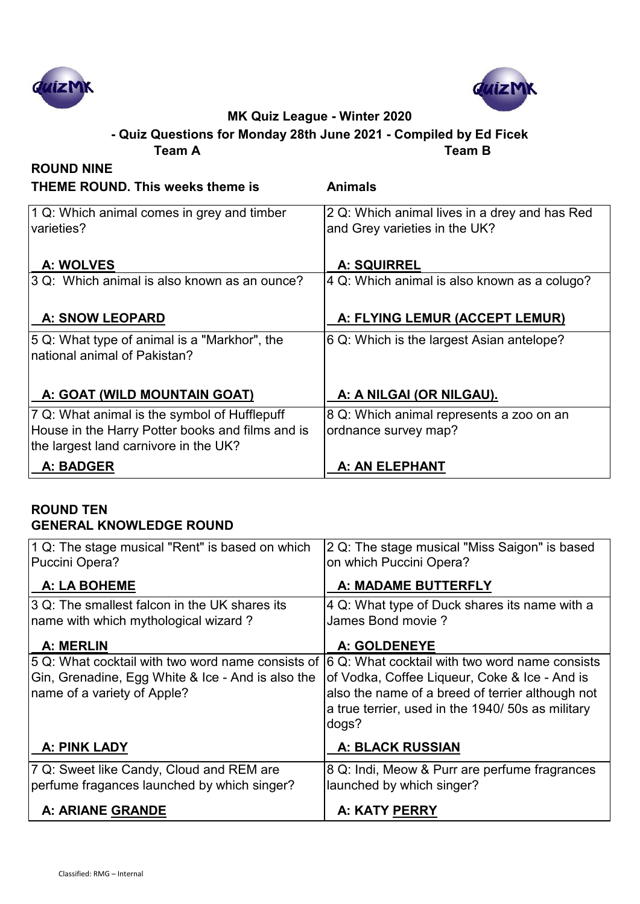



**Team A Team B - Quiz Questions for Monday 28th June 2021 - Compiled by Ed Ficek**

| <b>ROUND NINE</b>                                                            |                                                                                |
|------------------------------------------------------------------------------|--------------------------------------------------------------------------------|
| <b>THEME ROUND. This weeks theme is</b>                                      | <b>Animals</b>                                                                 |
| 1 Q: Which animal comes in grey and timber<br>varieties?                     | 2 Q: Which animal lives in a drey and has Red<br>and Grey varieties in the UK? |
| A: WOLVES                                                                    | <b>A: SQUIRREL</b>                                                             |
| 3 Q: Which animal is also known as an ounce?                                 | 4 Q: Which animal is also known as a colugo?                                   |
| <b>A: SNOW LEOPARD</b>                                                       | A: FLYING LEMUR (ACCEPT LEMUR)                                                 |
| 5 Q: What type of animal is a "Markhor", the<br>national animal of Pakistan? | 6 Q: Which is the largest Asian antelope?                                      |
| A: GOAT (WILD MOUNTAIN GOAT)                                                 | <u>A: A NILGAI (OR NILGAU).</u>                                                |
| 7 Q: What animal is the symbol of Hufflepuff                                 | 8 Q: Which animal represents a zoo on an                                       |
| House in the Harry Potter books and films and is                             | ordnance survey map?                                                           |
| the largest land carnivore in the UK?                                        |                                                                                |
| A: BADGER                                                                    | A: AN ELEPHANT                                                                 |

## **ROUND TEN GENERAL KNOWLEDGE ROUND**

| 1 Q: The stage musical "Rent" is based on which<br>Puccini Opera?                                                                     | 2 Q: The stage musical "Miss Saigon" is based<br>on which Puccini Opera?                                                                                                                                         |
|---------------------------------------------------------------------------------------------------------------------------------------|------------------------------------------------------------------------------------------------------------------------------------------------------------------------------------------------------------------|
| A: LA BOHEME                                                                                                                          | A: MADAME BUTTERFLY                                                                                                                                                                                              |
| 3 Q: The smallest falcon in the UK shares its<br>name with which mythological wizard?                                                 | 4 Q: What type of Duck shares its name with a<br>James Bond movie?                                                                                                                                               |
| A: MERLIN                                                                                                                             | <b>A: GOLDENEYE</b>                                                                                                                                                                                              |
| 5 Q: What cocktail with two word name consists of<br>Gin, Grenadine, Egg White & Ice - And is also the<br>name of a variety of Apple? | 6 Q: What cocktail with two word name consists<br>of Vodka, Coffee Liqueur, Coke & Ice - And is<br>also the name of a breed of terrier although not<br>a true terrier, used in the 1940/50s as military<br>dogs? |
| A: PINK LADY                                                                                                                          | <b>A: BLACK RUSSIAN</b>                                                                                                                                                                                          |
| 7 Q: Sweet like Candy, Cloud and REM are<br>perfume fragances launched by which singer?                                               | 8 Q: Indi, Meow & Purr are perfume fragrances<br>launched by which singer?                                                                                                                                       |
| <b>A: ARIANE GRANDE</b>                                                                                                               | <b>A: KATY PERRY</b>                                                                                                                                                                                             |